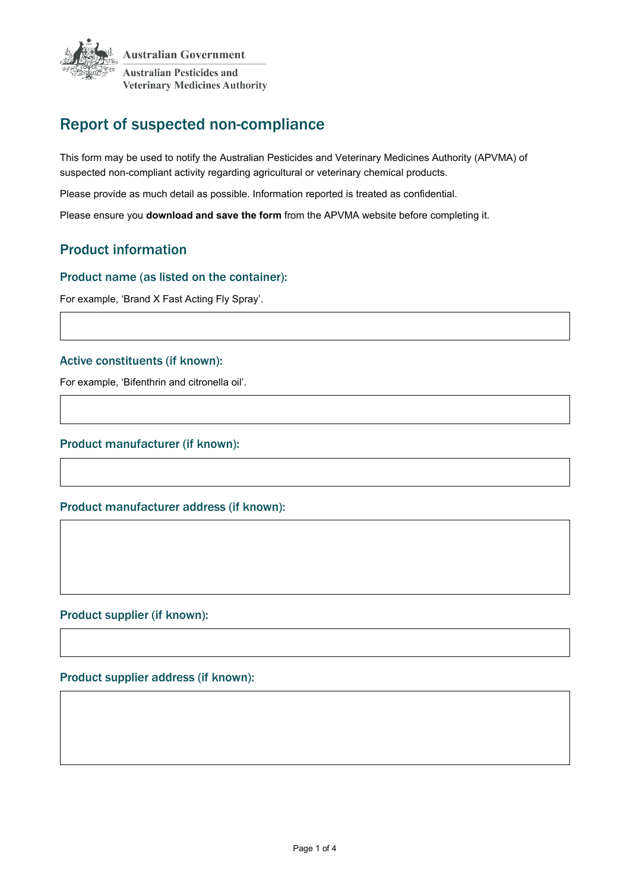

# Report of suspected non-compliance

This form may be used to notify the Australian Pesticides and Veterinary Medicines Authority (APVMA) of suspected non-compliant activity regarding agricultural or veterinary chemical products.

Please provide as much detail as possible. Information reported is treated as confidential.

Please ensure you **download and save the form** from the APVMA website before completing it.

## Product information

#### Product name (as listed on the container):

For example, 'Brand X Fast Acting Fly Spray'.

#### Active constituents (if known):

For example, 'Bifenthrin and citronella oil'.

#### Product manufacturer (if known):

#### Product manufacturer address (if known):

### Product supplier (if known):

#### Product supplier address (if known):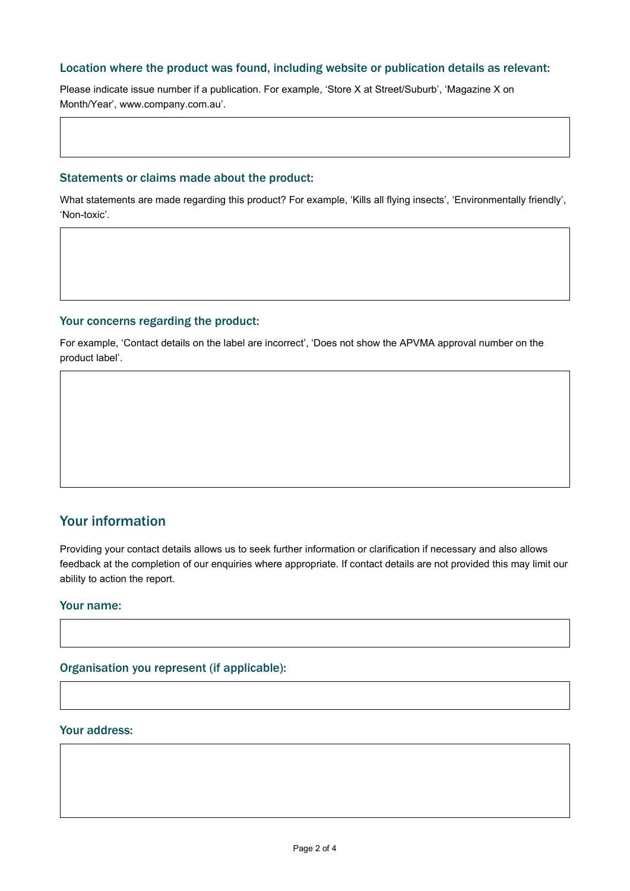#### Location where the product was found, including website or publication details as relevant:

Please indicate issue number if a publication. For example, 'Store X at Street/Suburb', 'Magazine X on Month/Year', www.company.com.au'.

#### Statements or claims made about the product:

What statements are made regarding this product? For example, 'Kills all flying insects', 'Environmentally friendly', 'Non-toxic'.

#### Your concerns regarding the product:

For example, 'Contact details on the label are incorrect', 'Does not show the APVMA approval number on the product label'.

## Your information

Providing your contact details allows us to seek further information or clarification if necessary and also allows feedback at the completion of our enquiries where appropriate. If contact details are not provided this may limit our ability to action the report.

#### Your name:

Organisation you represent (if applicable):

#### Your address: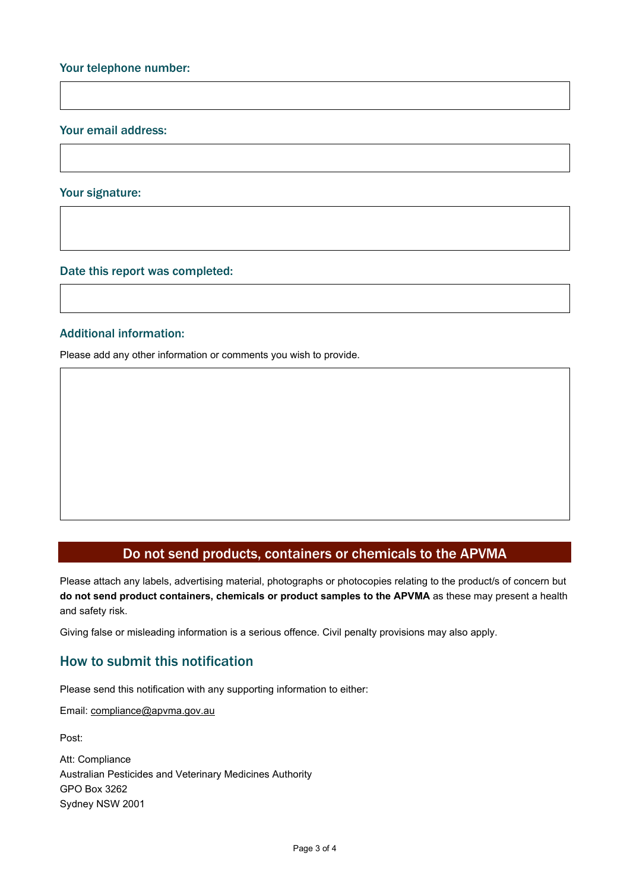#### Your email address:

#### Your signature:

Date this report was completed:

#### Additional information:

Please add any other information or comments you wish to provide.

### Do not send products, containers or chemicals to the APVMA

Please attach any labels, advertising material, photographs or photocopies relating to the product/s of concern but **do not send product containers, chemicals or product samples to the APVMA** as these may present a health and safety risk.

Giving false or misleading information is a serious offence. Civil penalty provisions may also apply.

## How to submit this notification

Please send this notification with any supporting information to either:

Email[: compliance@apvma.gov.au](mailto:compliance@apvma.gov.au)

Post:

Att: Compliance Australian Pesticides and Veterinary Medicines Authority GPO Box 3262 Sydney NSW 2001